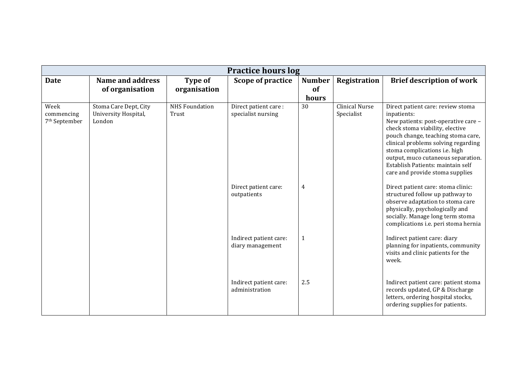| <b>Practice hours log</b>                       |                                                         |                                |                                            |                              |                                     |                                                                                                                                                                                                                                                                                                                                                        |
|-------------------------------------------------|---------------------------------------------------------|--------------------------------|--------------------------------------------|------------------------------|-------------------------------------|--------------------------------------------------------------------------------------------------------------------------------------------------------------------------------------------------------------------------------------------------------------------------------------------------------------------------------------------------------|
| <b>Date</b>                                     | <b>Name and address</b><br>of organisation              | <b>Type of</b><br>organisation | Scope of practice                          | <b>Number</b><br>of<br>hours | Registration                        | <b>Brief description of work</b>                                                                                                                                                                                                                                                                                                                       |
| Week<br>commencing<br>7 <sup>th</sup> September | Stoma Care Dept, City<br>University Hospital,<br>London | <b>NHS Foundation</b><br>Trust | Direct patient care:<br>specialist nursing | 30                           | <b>Clinical Nurse</b><br>Specialist | Direct patient care: review stoma<br>inpatients:<br>New patients: post-operative care -<br>check stoma viability, elective<br>pouch change, teaching stoma care,<br>clinical problems solving regarding<br>stoma complications i.e. high<br>output, muco cutaneous separation.<br>Establish Patients: maintain self<br>care and provide stoma supplies |
|                                                 |                                                         |                                | Direct patient care:<br>outpatients        | 4                            |                                     | Direct patient care: stoma clinic:<br>structured follow up pathway to<br>observe adaptation to stoma care<br>physically, psychologically and<br>socially. Manage long term stoma<br>complications i.e. peri stoma hernia                                                                                                                               |
|                                                 |                                                         |                                | Indirect patient care:<br>diary management | 1                            |                                     | Indirect patient care: diary<br>planning for inpatients, community<br>visits and clinic patients for the<br>week.                                                                                                                                                                                                                                      |
|                                                 |                                                         |                                | Indirect patient care:<br>administration   | 2.5                          |                                     | Indirect patient care: patient stoma<br>records updated, GP & Discharge<br>letters, ordering hospital stocks,<br>ordering supplies for patients.                                                                                                                                                                                                       |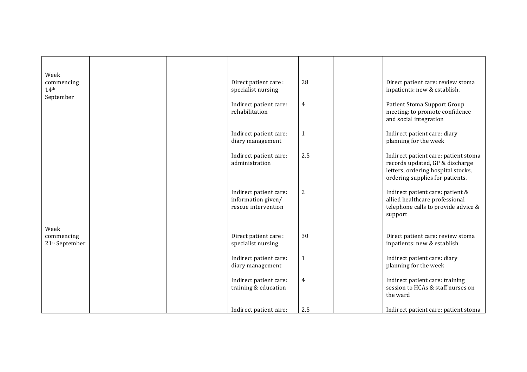| Week<br>commencing<br>14 <sup>th</sup><br>September |  | Direct patient care:<br>specialist nursing                          | 28             | Direct patient care: review stoma<br>inpatients: new & establish.                                                                                |
|-----------------------------------------------------|--|---------------------------------------------------------------------|----------------|--------------------------------------------------------------------------------------------------------------------------------------------------|
|                                                     |  | Indirect patient care:<br>rehabilitation                            | 4              | Patient Stoma Support Group<br>meeting: to promote confidence<br>and social integration                                                          |
|                                                     |  | Indirect patient care:<br>diary management                          | $\mathbf{1}$   | Indirect patient care: diary<br>planning for the week                                                                                            |
|                                                     |  | Indirect patient care:<br>administration                            | 2.5            | Indirect patient care: patient stoma<br>records updated, GP & discharge<br>letters, ordering hospital stocks,<br>ordering supplies for patients. |
|                                                     |  | Indirect patient care:<br>information given/<br>rescue intervention | $\overline{2}$ | Indirect patient care: patient &<br>allied healthcare professional<br>telephone calls to provide advice &<br>support                             |
| Week<br>commencing<br>21st September                |  | Direct patient care:<br>specialist nursing                          | 30             | Direct patient care: review stoma<br>inpatients: new & establish                                                                                 |
|                                                     |  | Indirect patient care:<br>diary management                          | $\mathbf{1}$   | Indirect patient care: diary<br>planning for the week                                                                                            |
|                                                     |  | Indirect patient care:<br>training & education                      | 4              | Indirect patient care: training<br>session to HCAs & staff nurses on<br>the ward                                                                 |
|                                                     |  | Indirect patient care:                                              | 2.5            | Indirect patient care: patient stoma                                                                                                             |